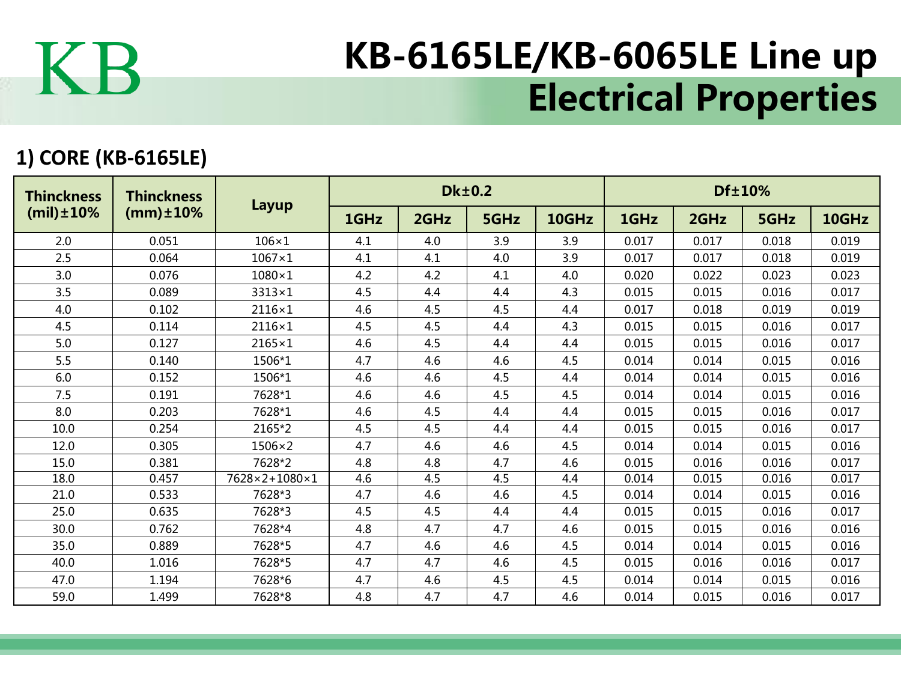

## KB-6165LE/KB-6065LE Line up Electrical Properties

## **1) CORE (KB-6165LE)**

| <b>Thinckness</b><br>$(mil) \pm 10\%$ | <b>Thinckness</b><br>$(mm) \pm 10%$ | Layup         |      |      | <b>Dk±0.2</b> |       | Df±10% |       |       |       |  |
|---------------------------------------|-------------------------------------|---------------|------|------|---------------|-------|--------|-------|-------|-------|--|
|                                       |                                     |               | 1GHz | 2GHz | 5GHz          | 10GHz | 1GHz   | 2GHz  | 5GHz  | 10GHz |  |
| 2.0                                   | 0.051                               | $106\times1$  | 4.1  | 4.0  | 3.9           | 3.9   | 0.017  | 0.017 | 0.018 | 0.019 |  |
| 2.5                                   | 0.064                               | $1067\times1$ | 4.1  | 4.1  | 4.0           | 3.9   | 0.017  | 0.017 | 0.018 | 0.019 |  |
| 3.0                                   | 0.076                               | $1080\times1$ | 4.2  | 4.2  | 4.1           | 4.0   | 0.020  | 0.022 | 0.023 | 0.023 |  |
| 3.5                                   | 0.089                               | $3313\times1$ | 4.5  | 4.4  | 4.4           | 4.3   | 0.015  | 0.015 | 0.016 | 0.017 |  |
| 4.0                                   | 0.102                               | $2116\times1$ | 4.6  | 4.5  | 4.5           | 4.4   | 0.017  | 0.018 | 0.019 | 0.019 |  |
| 4.5                                   | 0.114                               | 2116×1        | 4.5  | 4.5  | 4.4           | 4.3   | 0.015  | 0.015 | 0.016 | 0.017 |  |
| 5.0                                   | 0.127                               | $2165\times1$ | 4.6  | 4.5  | 4.4           | 4.4   | 0.015  | 0.015 | 0.016 | 0.017 |  |
| 5.5                                   | 0.140                               | 1506*1        | 4.7  | 4.6  | 4.6           | 4.5   | 0.014  | 0.014 | 0.015 | 0.016 |  |
| 6.0                                   | 0.152                               | 1506*1        | 4.6  | 4.6  | 4.5           | 4.4   | 0.014  | 0.014 | 0.015 | 0.016 |  |
| 7.5                                   | 0.191                               | 7628*1        | 4.6  | 4.6  | 4.5           | 4.5   | 0.014  | 0.014 | 0.015 | 0.016 |  |
| 8.0                                   | 0.203                               | 7628*1        | 4.6  | 4.5  | 4.4           | 4.4   | 0.015  | 0.015 | 0.016 | 0.017 |  |
| 10.0                                  | 0.254                               | 2165*2        | 4.5  | 4.5  | 4.4           | 4.4   | 0.015  | 0.015 | 0.016 | 0.017 |  |
| 12.0                                  | 0.305                               | $1506\times2$ | 4.7  | 4.6  | 4.6           | 4.5   | 0.014  | 0.014 | 0.015 | 0.016 |  |
| 15.0                                  | 0.381                               | 7628*2        | 4.8  | 4.8  | 4.7           | 4.6   | 0.015  | 0.016 | 0.016 | 0.017 |  |
| 18.0                                  | 0.457                               | 7628×2+1080×1 | 4.6  | 4.5  | 4.5           | 4.4   | 0.014  | 0.015 | 0.016 | 0.017 |  |
| 21.0                                  | 0.533                               | 7628*3        | 4.7  | 4.6  | 4.6           | 4.5   | 0.014  | 0.014 | 0.015 | 0.016 |  |
| 25.0                                  | 0.635                               | 7628*3        | 4.5  | 4.5  | 4.4           | 4.4   | 0.015  | 0.015 | 0.016 | 0.017 |  |
| 30.0                                  | 0.762                               | 7628*4        | 4.8  | 4.7  | 4.7           | 4.6   | 0.015  | 0.015 | 0.016 | 0.016 |  |
| 35.0                                  | 0.889                               | 7628*5        | 4.7  | 4.6  | 4.6           | 4.5   | 0.014  | 0.014 | 0.015 | 0.016 |  |
| 40.0                                  | 1.016                               | 7628*5        | 4.7  | 4.7  | 4.6           | 4.5   | 0.015  | 0.016 | 0.016 | 0.017 |  |
| 47.0                                  | 1.194                               | 7628*6        | 4.7  | 4.6  | 4.5           | 4.5   | 0.014  | 0.014 | 0.015 | 0.016 |  |
| 59.0                                  | 1.499                               | 7628*8        | 4.8  | 4.7  | 4.7           | 4.6   | 0.014  | 0.015 | 0.016 | 0.017 |  |